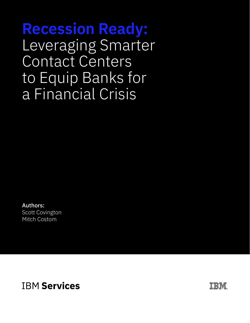**Recession Ready:** Leveraging Smarter Contact Centers to Equip Banks for a Financial Crisis

Authors: Scott Covington Mitch Costom

**IBM Services** 

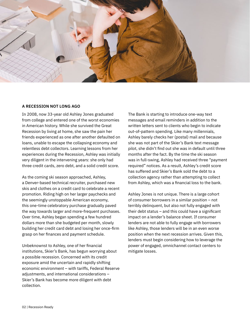

### **A RECESSION NOT LONG AGO**

In 2008, now 33-year old Ashley Jones graduated from college and entered one of the worst economies in American history. While she survived the Great Recession by living at home, she saw the pain her friends experienced as one after another defaulted on loans, unable to escape the collapsing economy and relentless debt collectors. Learning lessons from her experiences during the Recession, Ashley was initially very diligent in the intervening years: she only had three credit cards, zero debt, and a solid credit score.

As the coming ski season approached, Ashley, a Denver-based technical recruiter, purchased new skis and clothes on a credit card to celebrate a recent promotion. Riding high on her larger paychecks and the seemingly unstoppable American economy, this one-time celebratory purchase gradually paved the way towards larger and more-frequent purchases. Over time, Ashley began spending a few hundred dollars more than she budgeted per month, slowly building her credit card debt and losing her once-firm grasp on her finances and payment schedule.

Unbeknownst to Ashley, one of her financial institutions, Skier's Bank, has begun worrying about a possible recession. Concerned with its credit exposure amid the uncertain and rapidly shifting economic environment – with tariffs, Federal Reserve adjustments, and international considerations – Skier's Bank has become more diligent with debt collection.

The Bank is starting to introduce one-way text messages and email reminders in addition to the written letters sent to clients who begin to indicate out-of-pattern spending. Like many millennials, Ashley barely checks her (postal) mail and because she was not part of the Skier's Bank text message pilot, she didn't find out she was in default until three months after the fact. By the time the ski season was in full-swing, Ashley had received three "payment required" notices. As a result, Ashley's credit score has suffered and Skier's Bank sold the debt to a collection agency rather than attempting to collect from Ashley, which was a financial loss to the bank.

Ashley Jones is not unique. There is a large cohort of consumer borrowers in a similar position – not terribly delinquent, but also not fully engaged with their debt status – and this could have a significant impact on a lender's balance sheet. If consumer lenders are not able to fully engage with borrowers like Ashley, those lenders will be in an even worse position when the next recession arrives. Given this, lenders must begin considering how to leverage the power of engaged, omnichannel contact centers to mitigate losses.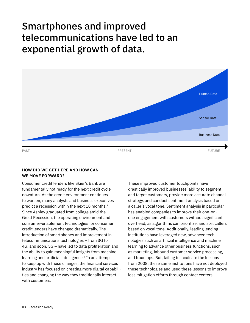# Smartphones and improved telecommunications have led to an exponential growth of data.



### **HOW DID WE GET HERE AND HOW CAN WE MOVE FORWARD?**

Consumer credit lenders like Skier's Bank are fundamentally not ready for the next credit cycle downturn. As the credit environment continues to worsen, many analysts and business executives predict a recession within the next 18 months.<sup>1</sup> Since Ashley graduated from college amid the Great Recession, the operating environment and consumer-enablement technologies for consumer credit lenders have changed dramatically. The introduction of smartphones and improvement in telecommunications technologies – from 3G to 4G, and soon, 5G – have led to data proliferation and the ability to gain meaningful insights from machine learning and artificial intelligence.<sup>2</sup> In an attempt to keep up with these changes, the financial services industry has focused on creating more digital capabilities and changing the way they traditionally interact with customers.

These improved customer touchpoints have drastically improved businesses' ability to segment and target customers, provide more accurate channel strategy, and conduct sentiment analysis based on a caller's vocal tone. Sentiment analysis in particular has enabled companies to improve their one-onone engagement with customers without significant overhead, as algorithms can prioritize, and sort callers based on vocal tone. Additionally, leading lending institutions have leveraged new, advanced technologies such as artificial intelligence and machine learning to advance other business functions, such as marketing, inbound customer service processing, and fraud ops. But, failing to inculcate the lessons from 2008, these same institutions have not deployed these technologies and used these lessons to improve loss mitigation efforts through contact centers.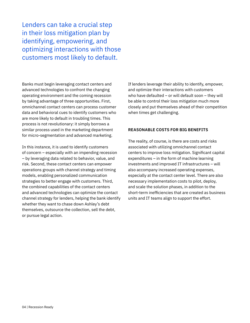Lenders can take a crucial step in their loss mitigation plan by identifying, empowering, and optimizing interactions with those customers most likely to default.

Banks must begin leveraging contact centers and advanced technologies to confront the changing operating environment and the coming recession by taking advantage of three opportunities. First, omnichannel contact centers can process customer data and behavioral cues to identify customers who are more likely to default in troubling times. This process is not revolutionary: it simply borrows a similar process used in the marketing department for micro-segmentation and advanced marketing.

In this instance, it is used to identify customers of concern – especially with an impending recession – by leveraging data related to behavior, value, and risk. Second, these contact centers can empower operations groups with channel strategy and timing models, enabling personalized communication strategies to better engage with customers. Third, the combined capabilities of the contact centers and advanced technologies can optimize the contact channel strategy for lenders, helping the bank identify whether they want to chase down Ashley's debt themselves, outsource the collection, sell the debt, or pursue legal action.

If lenders leverage their ability to identify, empower, and optimize their interactions with customers who have defaulted – or will default soon – they will be able to control their loss mitigation much more closely and put themselves ahead of their competition when times get challenging.

### **REASONABLE COSTS FOR BIG BENEFITS**

The reality, of course, is there are costs and risks associated with utilizing omnichannel contact centers to improve loss mitigation. Significant capital expenditures – in the form of machine learning investments and improved IT infrastructures – will also accompany increased operating expenses, especially at the contact center level. There are also necessary implementation costs to pilot, deploy, and scale the solution phases, in addition to the short-term inefficiencies that are created as business units and IT teams align to support the effort.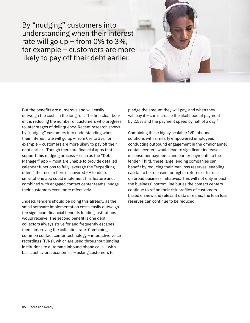By "nudging" customers into understanding when their interest rate will go up – from 0% to 3%, for example – customers are more likely to pay off their debt earlier.



But the benefits are numerous and will easily outweigh the costs in the long run. The first clear benefit is reducing the number of customers who progress to later stages of delinquency. Recent research shows by "nudging" customers into understanding when their interest rate will go up – from 0% to 3%, for example – customers are more likely to pay off their debt earlier.3 Though there are financial apps that support this nudging process – such as the "Debt Manager" app – most are unable to provide detailed calendar functions to fully leverage the "expediting effect" the researchers discovered.<sup>4</sup> A lender's smartphone app could implement this feature and, combined with engaged contact center teams, nudge their customers even more effectively.

Indeed, lenders should be doing this already, as the small software implementation costs easily outweigh the significant financial benefits lending institutions would receive. The second benefit is one debt collectors always strive for and frequently escapes them: improving the collection rate. Combining a common contact center technology – interactive voice recordings (IVRs), which are used throughout lending institutions to automate inbound phone calls – with basic behavioral economics – asking customers to

pledge the amount they will pay, and when they will pay it – can increase the likelihood of payment by 2.5% and the payment speed by half of a day.<sup>5</sup>

Combining these highly scalable IVR inbound solutions with similarly empowered employees conducting outbound engagement in the omnichannel contact centers would lead to significant increases in consumer payments and earlier payments to the lender. Third, these large lending companies can benefit by reducing their loan loss reserves, enabling capital to be released for higher returns or for use on broad business initiatives. This will not only impact the business' bottom line but as the contact centers continue to refine their risk profiles of customers based on new and relevant data streams, the loan loss reserves can continue to be reduced.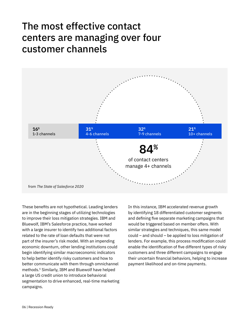# The most effective contact centers are managing over four customer channels



These benefits are not hypothetical. Leading lenders are in the beginning stages of utilizing technologies to improve their loss mitigation strategies. IBM and Bluewolf, IBM's Salesforce practice, have worked with a large insurer to identify two additional factors related to the rate of loan defaults that were not part of the insurer's risk model. With an impending economic downturn, other lending institutions could begin identifying similar macroeconomic indicators to help better identify risky customers and how to better communicate with them through omnichannel methods.6 Similarly, IBM and Bluewolf have helped a large US credit union to introduce behavioral segmentation to drive enhanced, real-time marketing campaigns.

In this instance, IBM accelerated revenue growth by identifying 18 differentiated customer segments and defining five separate marketing campaigns that would be triggered based on member offers. With similar strategies and techniques, this same model could – and should – be applied to loss mitigation of lenders. For example, this process modification could enable the identification of five different types of risky customers and three different campaigns to engage their uncertain financial behaviors, helping to increase payment likelihood and on-time payments.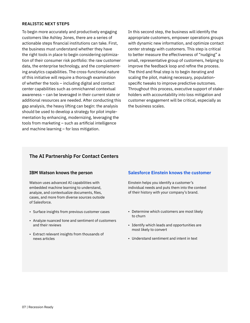#### **REALISTIC NEXT STEPS**

To begin more accurately and productively engaging customers like Ashley Jones, there are a series of actionable steps financial institutions can take. First, the business must understand whether they have the right tools in place to begin considering optimization of their consumer risk portfolio: the raw customer data, the enterprise technology, and the complementing analytics capabilities. The cross-functional nature of this initiative will require a thorough examination of whether the tools – including digital and contact center capabilities such as omnichannel contextual awareness – can be leveraged in their current state or additional resources are needed. After conducting this gap analysis, the heavy lifting can begin: the analysis should be used to develop a strategy for pilot implementation by enhancing, modernizing, leveraging the tools from marketing – such as artificial intelligence and machine learning – for loss mitigation.

In this second step, the business will identify the appropriate customers, empower operations groups with dynamic new information, and optimize contact center strategy with customers. This step is critical to better measure the effectiveness of "nudging" a small, representative group of customers, helping to improve the feedback loop and refine the process. The third and final step is to begin iterating and scaling the pilot, making necessary, populationspecific tweaks to improve predictive outcomes. Throughout this process, executive support of stakeholders with accountability into loss mitigation and customer engagement will be critical, especially as the business scales.

# **The AI Partnership For Contact Centers**

#### **IBM Watson knows the person**

Watson uses advanced AI capabilities with embedded machine learning to understand, analyze, and contextualize documents, files, cases, and more from diverse sources outside of Salesforce.

- Surface insights from previous customer cases
- Analyze nuanced tone and sentiment of customers and their reviews
- Extract relevant insights from thousands of news articles

### **Salesforce Einstein knows the customer**

Einstein helps you identify a customer's individual needs and puts them into the context of their history with your company's brand.

- Determine which customers are most likely to churn
- Identify which leads and opportunities are most likely to convert
- Understand sentiment and intent in text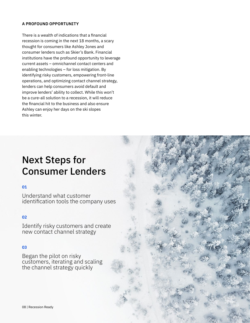## **A PROFOUND OPPORTUNITY**

There is a wealth of indications that a financial recession is coming in the next 18 months, a scary thought for consumers like Ashley Jones and consumer lenders such as Skier's Bank. Financial institutions have the profound opportunity to leverage current assets – omnichannel contact centers and enabling technologies – for loss mitigation. By identifying risky customers, empowering front-line operations, and optimizing contact channel strategy, lenders can help consumers avoid default and improve lenders' ability to collect. While this won't be a cure-all solution to a recession, it will reduce the financial hit to the business and also ensure Ashley can enjoy her days on the ski slopes this winter.

# Next Steps for Consumer Lenders

# **01**

Understand what customer identification tools the company uses

# **02**

Identify risky customers and create new contact channel strategy

### **03**

Began the pilot on risky customers, iterating and scaling the channel strategy quickly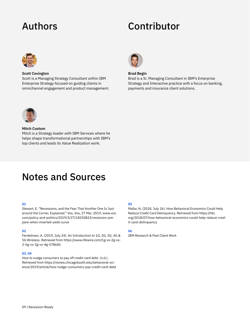# Authors Contributor



**Scott Covington**

Scott is a Managing Strategy Consultant within IBM Enterprise Strategy focused on guiding clients in omnichannel engagement and product management.



**Brad Begin**

Brad is a Sr. Managing Consultant in IBM's Enterprise Strategy and Interactive practice with a focus on banking, payments and insurance client solutions.



#### **Mitch Costom**

Mitch is a Strategy leader with IBM Services where he helps shape transformational partnerships with IBM's top clients and leads its Value Realization work.

# Notes and Sources

#### **01**

Stewart, E. "Recessions, and the Fear That Another One Is Just around the Corner, Explained." Vox, Vox, 27 Mar. 2019, www.vox. com/policy-and-politics/2019/3/27/18250823/recession-prepare-when-inverted-yield-curve

#### **02**

Fendelman, A. (2019, July 24). An Introduction to 1G, 2G, 3G, 4G & 5G Wireless. Retrieved from https://www.lifewire.com/1g-vs-2g-vs-2-5g-vs-3g-vs-4g-578681

#### **03, 04**

How to nudge consumers to pay off credit-card debt. (n.d.). Retrieved from https://review.chicagobooth.edu/behavioral-science/2019/article/how-nudge-consumers-pay-credit-card-debt

#### **05**

Mažar, N. (2018, July 26). How Behavioral Economics Could Help Reduce Credit Card Delinquency. Retrieved from https://hbr. org/2018/07/how-behavioral-economics-could-help-reduce-credit-card-delinquency

#### **06**

IBM Research & Past Client Work